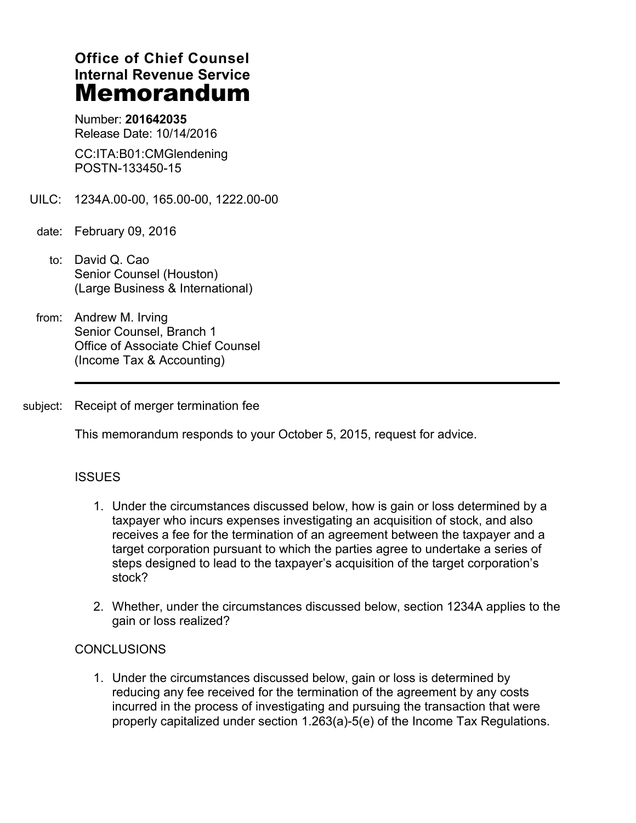# **Office of Chief Counsel Internal Revenue Service Memorandum**

Number: **201642035** Release Date: 10/14/2016

CC:ITA:B01:CMGlendening POSTN-133450-15

- UILC: 1234A.00-00, 165.00-00, 1222.00-00
- date: February 09, 2016
	- to: David Q. Cao Senior Counsel (Houston) (Large Business & International)
- from: Andrew M. Irving Senior Counsel, Branch 1 Office of Associate Chief Counsel (Income Tax & Accounting)
- subject: Receipt of merger termination fee

This memorandum responds to your October 5, 2015, request for advice.

# **ISSUES**

- 1. Under the circumstances discussed below, how is gain or loss determined by a taxpayer who incurs expenses investigating an acquisition of stock, and also receives a fee for the termination of an agreement between the taxpayer and a target corporation pursuant to which the parties agree to undertake a series of steps designed to lead to the taxpayer's acquisition of the target corporation's stock?
- 2. Whether, under the circumstances discussed below, section 1234A applies to the gain or loss realized?

#### **CONCLUSIONS**

1. Under the circumstances discussed below, gain or loss is determined by reducing any fee received for the termination of the agreement by any costs incurred in the process of investigating and pursuing the transaction that were properly capitalized under section 1.263(a)-5(e) of the Income Tax Regulations.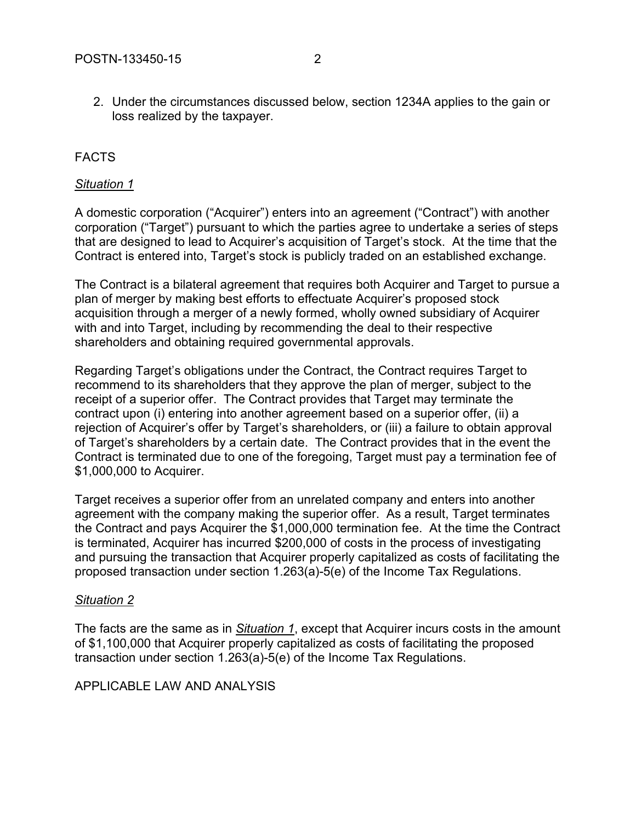2. Under the circumstances discussed below, section 1234A applies to the gain or loss realized by the taxpayer.

# FACTS

### *Situation 1*

A domestic corporation ("Acquirer") enters into an agreement ("Contract") with another corporation ("Target") pursuant to which the parties agree to undertake a series of steps that are designed to lead to Acquirer's acquisition of Target's stock. At the time that the Contract is entered into, Target's stock is publicly traded on an established exchange.

The Contract is a bilateral agreement that requires both Acquirer and Target to pursue a plan of merger by making best efforts to effectuate Acquirer's proposed stock acquisition through a merger of a newly formed, wholly owned subsidiary of Acquirer with and into Target, including by recommending the deal to their respective shareholders and obtaining required governmental approvals.

Regarding Target's obligations under the Contract, the Contract requires Target to recommend to its shareholders that they approve the plan of merger, subject to the receipt of a superior offer. The Contract provides that Target may terminate the contract upon (i) entering into another agreement based on a superior offer, (ii) a rejection of Acquirer's offer by Target's shareholders, or (iii) a failure to obtain approval of Target's shareholders by a certain date. The Contract provides that in the event the Contract is terminated due to one of the foregoing, Target must pay a termination fee of \$1,000,000 to Acquirer.

Target receives a superior offer from an unrelated company and enters into another agreement with the company making the superior offer. As a result, Target terminates the Contract and pays Acquirer the \$1,000,000 termination fee. At the time the Contract is terminated, Acquirer has incurred \$200,000 of costs in the process of investigating and pursuing the transaction that Acquirer properly capitalized as costs of facilitating the proposed transaction under section 1.263(a)-5(e) of the Income Tax Regulations.

# *Situation 2*

The facts are the same as in *Situation 1*, except that Acquirer incurs costs in the amount of \$1,100,000 that Acquirer properly capitalized as costs of facilitating the proposed transaction under section 1.263(a)-5(e) of the Income Tax Regulations.

APPLICABLE LAW AND ANALYSIS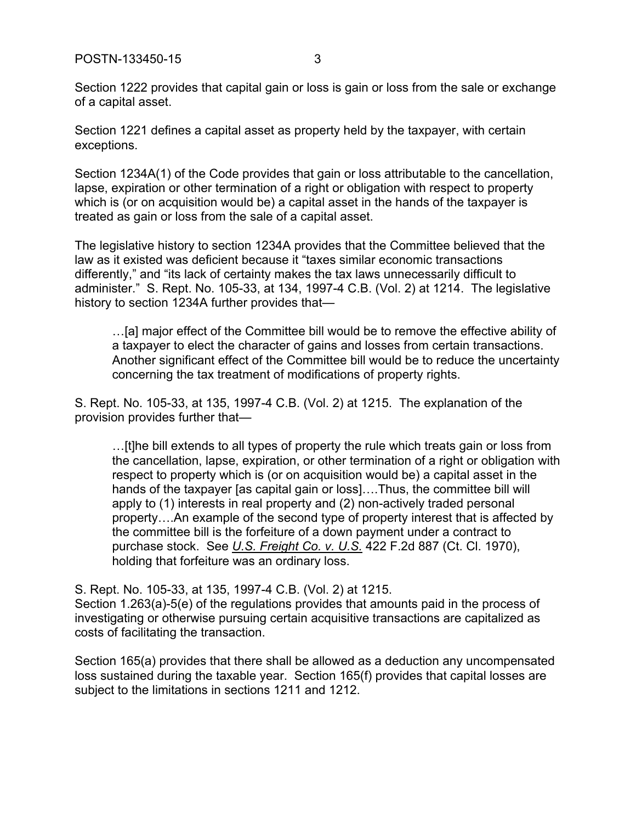Section 1222 provides that capital gain or loss is gain or loss from the sale or exchange of a capital asset.

Section 1221 defines a capital asset as property held by the taxpayer, with certain exceptions.

Section 1234A(1) of the Code provides that gain or loss attributable to the cancellation, lapse, expiration or other termination of a right or obligation with respect to property which is (or on acquisition would be) a capital asset in the hands of the taxpayer is treated as gain or loss from the sale of a capital asset.

The legislative history to section 1234A provides that the Committee believed that the law as it existed was deficient because it "taxes similar economic transactions differently," and "its lack of certainty makes the tax laws unnecessarily difficult to administer." S. Rept. No. 105-33, at 134, 1997-4 C.B. (Vol. 2) at 1214. The legislative history to section 1234A further provides that—

…[a] major effect of the Committee bill would be to remove the effective ability of a taxpayer to elect the character of gains and losses from certain transactions. Another significant effect of the Committee bill would be to reduce the uncertainty concerning the tax treatment of modifications of property rights.

S. Rept. No. 105-33, at 135, 1997-4 C.B. (Vol. 2) at 1215. The explanation of the provision provides further that—

…[t]he bill extends to all types of property the rule which treats gain or loss from the cancellation, lapse, expiration, or other termination of a right or obligation with respect to property which is (or on acquisition would be) a capital asset in the hands of the taxpayer [as capital gain or loss]….Thus, the committee bill will apply to (1) interests in real property and (2) non-actively traded personal property….An example of the second type of property interest that is affected by the committee bill is the forfeiture of a down payment under a contract to purchase stock. See *U.S. Freight Co. v. U.S.* 422 F.2d 887 (Ct. Cl. 1970), holding that forfeiture was an ordinary loss.

S. Rept. No. 105-33, at 135, 1997-4 C.B. (Vol. 2) at 1215.

Section 1.263(a)-5(e) of the regulations provides that amounts paid in the process of investigating or otherwise pursuing certain acquisitive transactions are capitalized as costs of facilitating the transaction.

Section 165(a) provides that there shall be allowed as a deduction any uncompensated loss sustained during the taxable year. Section 165(f) provides that capital losses are subject to the limitations in sections 1211 and 1212.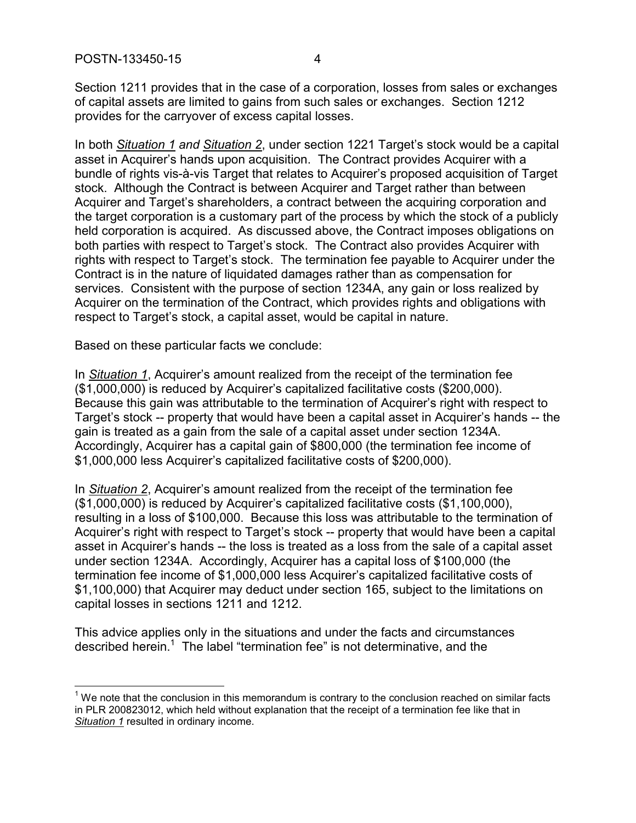$\overline{a}$ 

Section 1211 provides that in the case of a corporation, losses from sales or exchanges of capital assets are limited to gains from such sales or exchanges. Section 1212 provides for the carryover of excess capital losses.

In both *Situation 1 and Situation 2*, under section 1221 Target's stock would be a capital asset in Acquirer's hands upon acquisition. The Contract provides Acquirer with a bundle of rights vis-à-vis Target that relates to Acquirer's proposed acquisition of Target stock. Although the Contract is between Acquirer and Target rather than between Acquirer and Target's shareholders, a contract between the acquiring corporation and the target corporation is a customary part of the process by which the stock of a publicly held corporation is acquired. As discussed above, the Contract imposes obligations on both parties with respect to Target's stock. The Contract also provides Acquirer with rights with respect to Target's stock. The termination fee payable to Acquirer under the Contract is in the nature of liquidated damages rather than as compensation for services. Consistent with the purpose of section 1234A, any gain or loss realized by Acquirer on the termination of the Contract, which provides rights and obligations with respect to Target's stock, a capital asset, would be capital in nature.

Based on these particular facts we conclude:

In *Situation 1*, Acquirer's amount realized from the receipt of the termination fee (\$1,000,000) is reduced by Acquirer's capitalized facilitative costs (\$200,000). Because this gain was attributable to the termination of Acquirer's right with respect to Target's stock -- property that would have been a capital asset in Acquirer's hands -- the gain is treated as a gain from the sale of a capital asset under section 1234A. Accordingly, Acquirer has a capital gain of \$800,000 (the termination fee income of \$1,000,000 less Acquirer's capitalized facilitative costs of \$200,000).

In *Situation 2*, Acquirer's amount realized from the receipt of the termination fee (\$1,000,000) is reduced by Acquirer's capitalized facilitative costs (\$1,100,000), resulting in a loss of \$100,000. Because this loss was attributable to the termination of Acquirer's right with respect to Target's stock -- property that would have been a capital asset in Acquirer's hands -- the loss is treated as a loss from the sale of a capital asset under section 1234A. Accordingly, Acquirer has a capital loss of \$100,000 (the termination fee income of \$1,000,000 less Acquirer's capitalized facilitative costs of \$1,100,000) that Acquirer may deduct under section 165, subject to the limitations on capital losses in sections 1211 and 1212.

This advice applies only in the situations and under the facts and circumstances described herein.<sup>1</sup> The label "termination fee" is not determinative, and the

 $1$  We note that the conclusion in this memorandum is contrary to the conclusion reached on similar facts in PLR 200823012, which held without explanation that the receipt of a termination fee like that in *Situation 1* resulted in ordinary income.